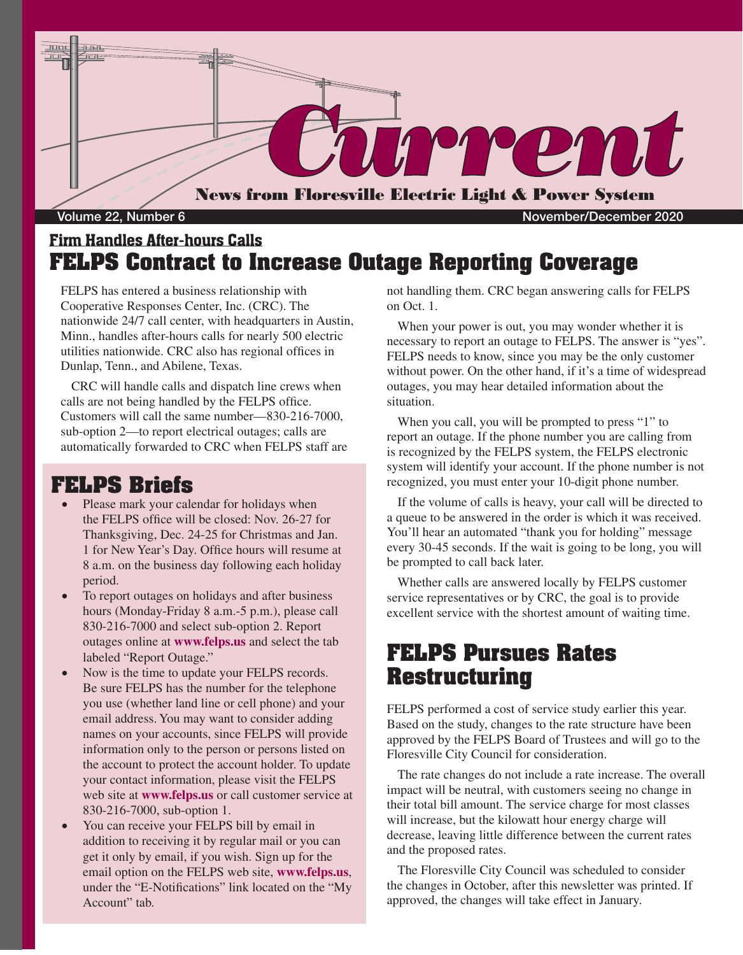

## Firm Handles After-hours Calls **FELPS Contract to Increase Outage Reporting Coverage**

FELPS has entered a business relationship with Cooperative Responses Center, Inc. (CRC). The nationwide 24/7 call center, with headquarters in Austin, Minn., handles after-hours calls for nearly 500 electric utilities nationwide. CRC also has regional offices in Dunlap, Tenn., and Abilene, Texas.

CRC will handle calls and dispatch line crews when calls are not being handled by the FELPS office. Customers will call the same number—830-216-7000, sub-option 2—to report electrical outages; calls are automatically forwarded to CRC when FELPS staff are

## **FELPS Briefs**

- Please mark your calendar for holidays when the FELPS office will be closed: Nov. 26-27 for Thanksgiving, Dec. 24-25 for Christmas and Jan. 1 for New Year's Day. Office hours will resume at 8 a.m. on the business day following each holiday period.
- To report outages on holidays and after business hours (Monday-Friday 8 a.m.-5 p.m.), please call 830-216-7000 and select sub-option 2. Report outages online at **www.felps.us** and select the tab labeled "Report Outage."
- Now is the time to update your FELPS records. Be sure FELPS has the number for the telephone you use (whether land line or cell phone) and your email address. You may want to consider adding names on your accounts, since FELPS will provide information only to the person or persons listed on the account to protect the account holder. To update your contact information, please visit the FELPS web site at **www.felps.us** or call customer service at 830-216-7000, sub-option 1.
- You can receive your FELPS bill by email in addition to receiving it by regular mail or you can get it only by email, if you wish. Sign up for the email option on the FELPS web site, **www.felps.us**, under the "E-Notifications" link located on the "My Account" tab.

not handling them. CRC began answering calls for FELPS on Oct. 1.

When your power is out, you may wonder whether it is necessary to report an outage to FELPS. The answer is "yes". FELPS needs to know, since you may be the only customer without power. On the other hand, if it's a time of widespread outages, you may hear detailed information about the situation.

When you call, you will be prompted to press "1" to report an outage. If the phone number you are calling from is recognized by the FELPS system, the FELPS electronic system will identify your account. If the phone number is not recognized, you must enter your 10-digit phone number.

If the volume of calls is heavy, your call will be directed to a queue to be answered in the order is which it was received. You'll hear an automated "thank you for holding" message every 30-45 seconds. If the wait is going to be long, you will be prompted to call back later.

Whether calls are answered locally by FELPS customer service representatives or by CRC, the goal is to provide excellent service with the shortest amount of waiting time.

## **FELPS Pursues Rates Restructuring**

FELPS performed a cost of service study earlier this year. Based on the study, changes to the rate structure have been approved by the FELPS Board of Trustees and will go to the Floresville City Council for consideration.

The rate changes do not include a rate increase. The overall impact will be neutral, with customers seeing no change in their total bill amount. The service charge for most classes will increase, but the kilowatt hour energy charge will decrease, leaving little difference between the current rates and the proposed rates.

The Floresville City Council was scheduled to consider the changes in October, after this newsletter was printed. If approved, the changes will take effect in January.